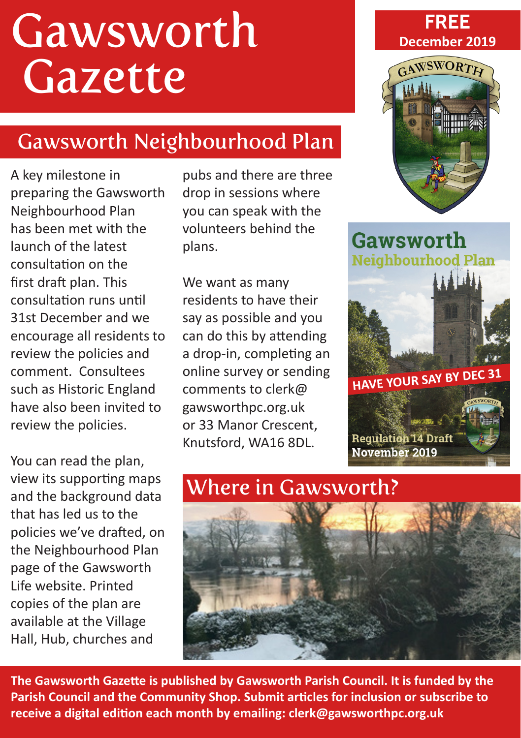# Gawsworth Gazette

# Gawsworth Neighbourhood Plan

A key milestone in preparing the Gawsworth Neighbourhood Plan has been met with the launch of the latest consultation on the first draft plan. This consultation runs until 31st December and we encourage all residents to review the policies and comment. Consultees such as Historic England have also been invited to review the policies.

You can read the plan, view its supporting maps and the background data that has led us to the policies we've drafted, on the Neighbourhood Plan page of the Gawsworth Life website. Printed copies of the plan are available at the Village Hall, Hub, churches and

pubs and there are three drop in sessions where you can speak with the volunteers behind the plans.

We want as many residents to have their say as possible and you can do this by attending a drop-in, completing an online survey or sending comments to clerk@ gawsworthpc.org.uk or 33 Manor Crescent, Knutsford, WA16 8DL.

#### **FREE December 2019**



Gawsworth **Neighbourhood Plan** 



# Where in Gawsworth?



**The Gawsworth Gazette is published by Gawsworth Parish Council. It is funded by the Parish Council and the Community Shop. Submit articles for inclusion or subscribe to receive a digital edition each month by emailing: clerk@gawsworthpc.org.uk**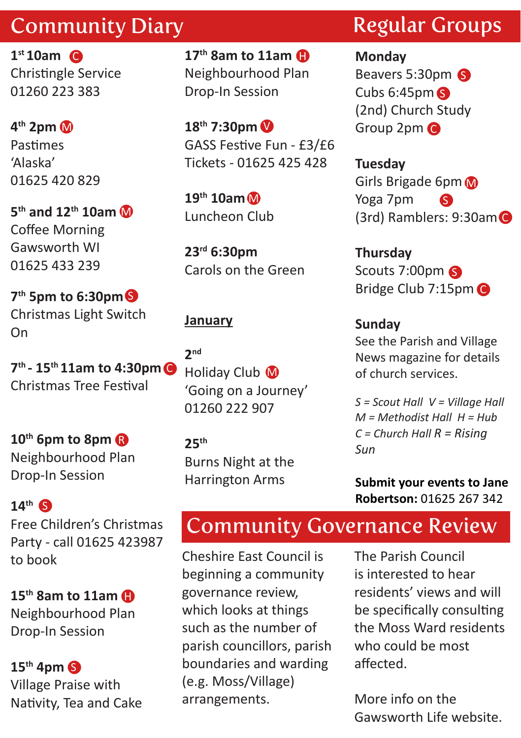## Community Diary

**1st 10am** C Christingle Service 01260 223 383

**4th 2pm**  M Pastimes 'Alaska' 01625 420 829

**5th and 12th 10am** M Coffee Morning Gawsworth WI 01625 433 239

**7th 5pm to 6:30pm** SChristmas Light Switch On

**7th - 15th 11am to 4:30pm** C Christmas Tree Festival

**10th 6pm to 8pm** R Neighbourhood Plan Drop-In Session

**14th** S Free Children's Christmas Party - call 01625 423987 to book

**15th 8am to 11am** H Neighbourhood Plan Drop-In Session

**15th 4pm** S Village Praise with Nativity, Tea and Cake

**17th 8am to 11am** H Neighbourhood Plan Drop-In Session

V **18th 7:30pm** GASS Festive Fun - £3/£6 Tickets - 01625 425 428

M **19th 10am** Luncheon Club

**23rd 6:30pm** Carols on the Green

#### **January**

Holiday Club M **2nd** 'Going on a Journey' 01260 222 907

**25th** Burns Night at the Harrington Arms

# Regular Groups

**Monday** Beavers 5:30pm Cubs 6:45pm S (2nd) Church Study Group 2pm C

**Tuesday** Girls Brigade 6pm Yoga 7pm (3rd) Ramblers: 9:30am C S

**Thursday** Scouts 7:00pm Bridge Club 7:15pm

#### **Sunday**

See the Parish and Village News magazine for details of church services.

*S = Scout Hall V = Village Hall M = Methodist Hall H = Hub C = Church Hall R = Rising Sun*

**Submit your events to Jane Robertson:** 01625 267 342

# Community Governance Review

Cheshire East Council is beginning a community governance review, which looks at things such as the number of parish councillors, parish boundaries and warding (e.g. Moss/Village) arrangements.

The Parish Council is interested to hear residents' views and will be specifically consulting the Moss Ward residents who could be most affected.

More info on the Gawsworth Life website.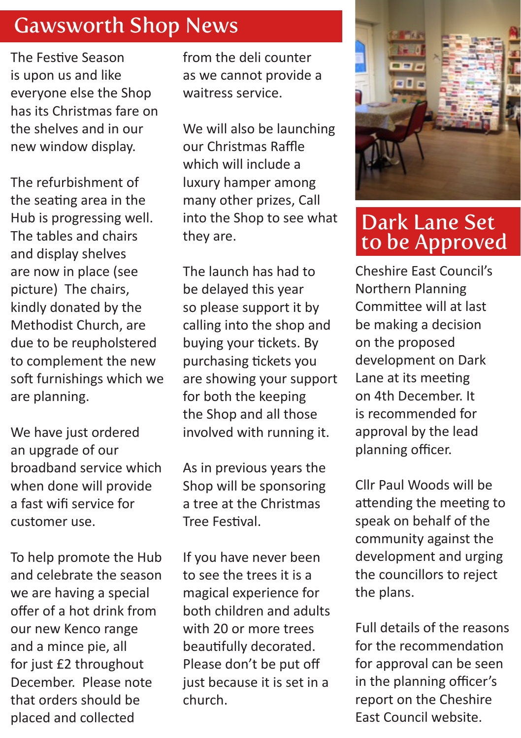#### Gawsworth Shop News

The Festive Season is upon us and like everyone else the Shop has its Christmas fare on the shelves and in our new window display.

The refurbishment of the seating area in the Hub is progressing well. The tables and chairs and display shelves are now in place (see picture) The chairs, kindly donated by the Methodist Church, are due to be reupholstered to complement the new soft furnishings which we are planning.

We have just ordered an upgrade of our broadband service which when done will provide a fast wifi service for customer use.

To help promote the Hub and celebrate the season we are having a special offer of a hot drink from our new Kenco range and a mince pie, all for just £2 throughout December. Please note that orders should be placed and collected

from the deli counter as we cannot provide a waitress service.

We will also be launching our Christmas Raffle which will include a luxury hamper among many other prizes, Call into the Shop to see what they are.

The launch has had to be delayed this year so please support it by calling into the shop and buying your tickets. By purchasing tickets you are showing your support for both the keeping the Shop and all those involved with running it.

As in previous years the Shop will be sponsoring a tree at the Christmas Tree Festival.

If you have never been to see the trees it is a magical experience for both children and adults with 20 or more trees beautifully decorated. Please don't be put off just because it is set in a church.



### Dark Lane Set to be Approved

Cheshire East Council's Northern Planning Committee will at last be making a decision on the proposed development on Dark Lane at its meeting on 4th December. It is recommended for approval by the lead planning officer.

Cllr Paul Woods will be attending the meeting to speak on behalf of the community against the development and urging the councillors to reject the plans.

Full details of the reasons for the recommendation for approval can be seen in the planning officer's report on the Cheshire East Council website.